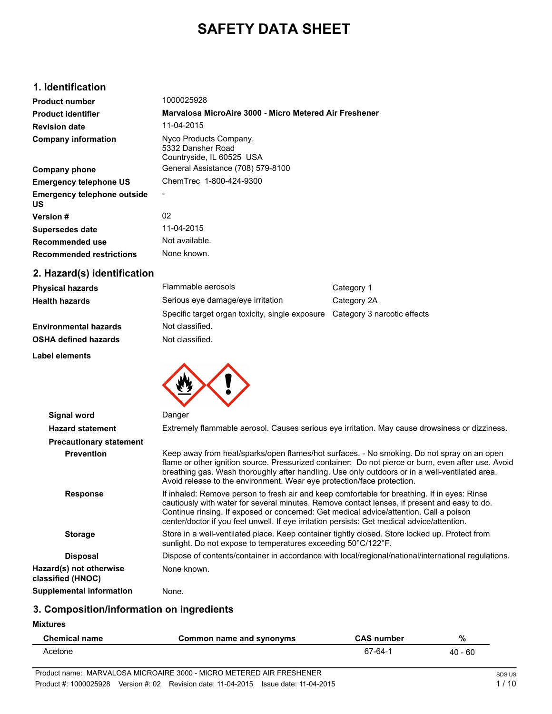# **SAFETY DATA SHEET**

# **1. Identification**

| <b>Product number</b>                    | 1000025928                                                               |
|------------------------------------------|--------------------------------------------------------------------------|
| <b>Product identifier</b>                | Marvalosa MicroAire 3000 - Micro Metered Air Freshener                   |
| <b>Revision date</b>                     | 11-04-2015                                                               |
| <b>Company information</b>               | Nyco Products Company.<br>5332 Dansher Road<br>Countryside, IL 60525 USA |
| <b>Company phone</b>                     | General Assistance (708) 579-8100                                        |
| <b>Emergency telephone US</b>            | ChemTrec 1-800-424-9300                                                  |
| <b>Emergency telephone outside</b><br>US |                                                                          |
| <b>Version #</b>                         | 02                                                                       |
| Supersedes date                          | 11-04-2015                                                               |
| Recommended use                          | Not available.                                                           |
| <b>Recommended restrictions</b>          | None known.                                                              |

# **2. Hazard(s) identification**

| <b>Physical hazards</b>      | Flammable aerosols                                                          | Category 1  |
|------------------------------|-----------------------------------------------------------------------------|-------------|
| <b>Health hazards</b>        | Serious eye damage/eye irritation                                           | Category 2A |
|                              | Specific target organ toxicity, single exposure Category 3 narcotic effects |             |
| <b>Environmental hazards</b> | Not classified.                                                             |             |
| <b>OSHA defined hazards</b>  | Not classified.                                                             |             |

**Label elements**



| <b>Signal word</b>                           | Danger                                                                                                                                                                                                                                                                                                                                                                                |
|----------------------------------------------|---------------------------------------------------------------------------------------------------------------------------------------------------------------------------------------------------------------------------------------------------------------------------------------------------------------------------------------------------------------------------------------|
| <b>Hazard statement</b>                      | Extremely flammable aerosol. Causes serious eye irritation. May cause drowsiness or dizziness.                                                                                                                                                                                                                                                                                        |
| <b>Precautionary statement</b>               |                                                                                                                                                                                                                                                                                                                                                                                       |
| <b>Prevention</b>                            | Keep away from heat/sparks/open flames/hot surfaces. - No smoking. Do not spray on an open<br>flame or other ignition source. Pressurized container: Do not pierce or burn, even after use. Avoid<br>breathing gas. Wash thoroughly after handling. Use only outdoors or in a well-ventilated area.<br>Avoid release to the environment. Wear eye protection/face protection.         |
| <b>Response</b>                              | If inhaled: Remove person to fresh air and keep comfortable for breathing. If in eyes: Rinse<br>cautiously with water for several minutes. Remove contact lenses, if present and easy to do.<br>Continue rinsing. If exposed or concerned: Get medical advice/attention. Call a poison<br>center/doctor if you feel unwell. If eye irritation persists: Get medical advice/attention. |
| <b>Storage</b>                               | Store in a well-ventilated place. Keep container tightly closed. Store locked up. Protect from<br>sunlight. Do not expose to temperatures exceeding 50°C/122°F.                                                                                                                                                                                                                       |
| <b>Disposal</b>                              | Dispose of contents/container in accordance with local/regional/national/international regulations.                                                                                                                                                                                                                                                                                   |
| Hazard(s) not otherwise<br>classified (HNOC) | None known.                                                                                                                                                                                                                                                                                                                                                                           |
| Supplemental information                     | None.                                                                                                                                                                                                                                                                                                                                                                                 |

# **3. Composition/information on ingredients**

**Mixtures**

| <b>Chemical name</b> | Common name and synonyms | <b>CAS number</b> | %         |
|----------------------|--------------------------|-------------------|-----------|
| Acetone              |                          | 67-64-1           | $40 - 60$ |
|                      |                          |                   |           |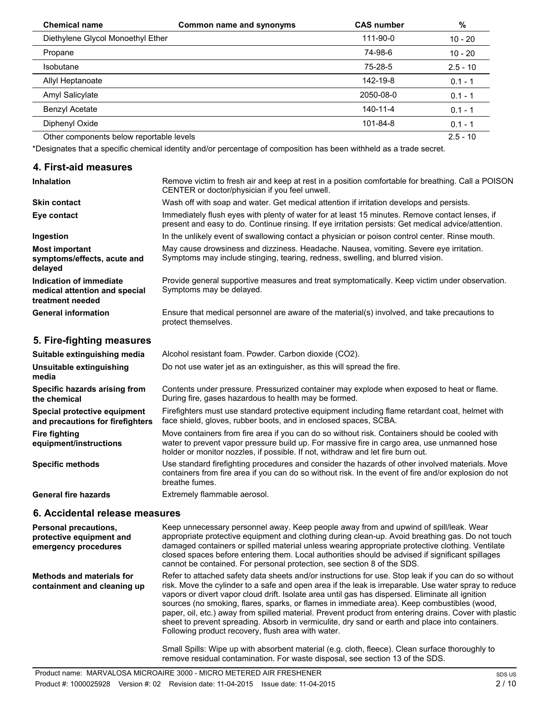| <b>Chemical name</b>                     | <b>Common name and synonyms</b> | <b>CAS number</b> | %          |
|------------------------------------------|---------------------------------|-------------------|------------|
| Diethylene Glycol Monoethyl Ether        |                                 | 111-90-0          | $10 - 20$  |
| Propane                                  |                                 | 74-98-6           | $10 - 20$  |
| <b>Isobutane</b>                         |                                 | 75-28-5           | $2.5 - 10$ |
| Allyl Heptanoate                         |                                 | 142-19-8          | $0.1 - 1$  |
| Amyl Salicylate                          |                                 | 2050-08-0         | $0.1 - 1$  |
| Benzyl Acetate                           |                                 | 140-11-4          | $0.1 - 1$  |
| Diphenyl Oxide                           |                                 | 101-84-8          | $0.1 - 1$  |
| Other components below reportable levels |                                 |                   | $2.5 - 10$ |

\*Designates that a specific chemical identity and/or percentage of composition has been withheld as a trade secret.

## **4. First-aid measures**

| <b>Inhalation</b>                                                            | Remove victim to fresh air and keep at rest in a position comfortable for breathing. Call a POISON<br>CENTER or doctor/physician if you feel unwell.                                                  |
|------------------------------------------------------------------------------|-------------------------------------------------------------------------------------------------------------------------------------------------------------------------------------------------------|
| <b>Skin contact</b>                                                          | Wash off with soap and water. Get medical attention if irritation develops and persists.                                                                                                              |
| Eye contact                                                                  | Immediately flush eyes with plenty of water for at least 15 minutes. Remove contact lenses, if<br>present and easy to do. Continue rinsing. If eye irritation persists: Get medical advice/attention. |
| Ingestion                                                                    | In the unlikely event of swallowing contact a physician or poison control center. Rinse mouth.                                                                                                        |
| <b>Most important</b><br>symptoms/effects, acute and<br>delayed              | May cause drowsiness and dizziness. Headache. Nausea, vomiting. Severe eye irritation.<br>Symptoms may include stinging, tearing, redness, swelling, and blurred vision.                              |
| Indication of immediate<br>medical attention and special<br>treatment needed | Provide general supportive measures and treat symptomatically. Keep victim under observation.<br>Symptoms may be delayed.                                                                             |
| <b>General information</b>                                                   | Ensure that medical personnel are aware of the material(s) involved, and take precautions to<br>protect themselves.                                                                                   |

# **5. Fire-fighting measures**

| Suitable extinguishing media                                     | Alcohol resistant foam. Powder. Carbon dioxide (CO2).                                                                                                                                                                                                                            |
|------------------------------------------------------------------|----------------------------------------------------------------------------------------------------------------------------------------------------------------------------------------------------------------------------------------------------------------------------------|
| Unsuitable extinguishing<br>media                                | Do not use water jet as an extinguisher, as this will spread the fire.                                                                                                                                                                                                           |
| Specific hazards arising from<br>the chemical                    | Contents under pressure. Pressurized container may explode when exposed to heat or flame.<br>During fire, gases hazardous to health may be formed.                                                                                                                               |
| Special protective equipment<br>and precautions for firefighters | Firefighters must use standard protective equipment including flame retardant coat, helmet with<br>face shield, gloves, rubber boots, and in enclosed spaces, SCBA.                                                                                                              |
| <b>Fire fighting</b><br>equipment/instructions                   | Move containers from fire area if you can do so without risk. Containers should be cooled with<br>water to prevent vapor pressure build up. For massive fire in cargo area, use unmanned hose<br>holder or monitor nozzles, if possible. If not, withdraw and let fire burn out. |
| <b>Specific methods</b>                                          | Use standard firefighting procedures and consider the hazards of other involved materials. Move<br>containers from fire area if you can do so without risk. In the event of fire and/or explosion do not<br>breathe fumes.                                                       |
| <b>General fire hazards</b>                                      | Extremely flammable aerosol.                                                                                                                                                                                                                                                     |

## **6. Accidental release measures**

| <b>Personal precautions,</b><br>protective equipment and<br>emergency procedures | Keep unnecessary personnel away. Keep people away from and upwind of spill/leak. Wear<br>appropriate protective equipment and clothing during clean-up. Avoid breathing gas. Do not touch<br>damaged containers or spilled material unless wearing appropriate protective clothing. Ventilate<br>closed spaces before entering them. Local authorities should be advised if significant spillages<br>cannot be contained. For personal protection, see section 8 of the SDS.                                                                                                                                                                                                        |
|----------------------------------------------------------------------------------|-------------------------------------------------------------------------------------------------------------------------------------------------------------------------------------------------------------------------------------------------------------------------------------------------------------------------------------------------------------------------------------------------------------------------------------------------------------------------------------------------------------------------------------------------------------------------------------------------------------------------------------------------------------------------------------|
| <b>Methods and materials for</b><br>containment and cleaning up                  | Refer to attached safety data sheets and/or instructions for use. Stop leak if you can do so without<br>risk. Move the cylinder to a safe and open area if the leak is irreparable. Use water spray to reduce<br>vapors or divert vapor cloud drift. Isolate area until gas has dispersed. Eliminate all ignition<br>sources (no smoking, flares, sparks, or flames in immediate area). Keep combustibles (wood,<br>paper, oil, etc.) away from spilled material. Prevent product from entering drains. Cover with plastic<br>sheet to prevent spreading. Absorb in vermiculite, dry sand or earth and place into containers.<br>Following product recovery, flush area with water. |
|                                                                                  | Small Spills: Wipe up with absorbent material (e.g. cloth, fleece). Clean surface thoroughly to<br>remove residual contamination. For waste disposal, see section 13 of the SDS.                                                                                                                                                                                                                                                                                                                                                                                                                                                                                                    |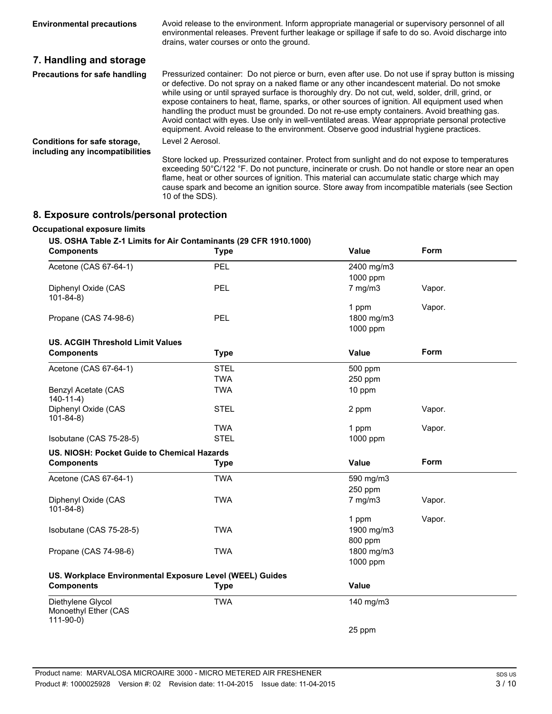| <b>Environmental precautions</b>                                | Avoid release to the environment. Inform appropriate managerial or supervisory personnel of all<br>environmental releases. Prevent further leakage or spillage if safe to do so. Avoid discharge into<br>drains, water courses or onto the ground.                                                                                                                                                                                                                                                                                                                                                                                                                                                         |
|-----------------------------------------------------------------|------------------------------------------------------------------------------------------------------------------------------------------------------------------------------------------------------------------------------------------------------------------------------------------------------------------------------------------------------------------------------------------------------------------------------------------------------------------------------------------------------------------------------------------------------------------------------------------------------------------------------------------------------------------------------------------------------------|
| 7. Handling and storage                                         |                                                                                                                                                                                                                                                                                                                                                                                                                                                                                                                                                                                                                                                                                                            |
| <b>Precautions for safe handling</b>                            | Pressurized container: Do not pierce or burn, even after use. Do not use if spray button is missing<br>or defective. Do not spray on a naked flame or any other incandescent material. Do not smoke<br>while using or until sprayed surface is thoroughly dry. Do not cut, weld, solder, drill, grind, or<br>expose containers to heat, flame, sparks, or other sources of ignition. All equipment used when<br>handling the product must be grounded. Do not re-use empty containers. Avoid breathing gas.<br>Avoid contact with eyes. Use only in well-ventilated areas. Wear appropriate personal protective<br>equipment. Avoid release to the environment. Observe good industrial hygiene practices. |
| Conditions for safe storage,<br>including any incompatibilities | Level 2 Aerosol.<br>Store locked up. Pressurized container. Protect from sunlight and do not expose to temperatures<br>exceeding 50°C/122 °F. Do not puncture, incinerate or crush. Do not handle or store near an open<br>flame, heat or other sources of ignition. This material can accumulate static charge which may<br>cause spark and become an ignition source. Store away from incompatible materials (see Section<br>10 of the SDS).                                                                                                                                                                                                                                                             |

# **8. Exposure controls/personal protection**

### **Occupational exposure limits**

### **US. OSHA Table Z-1 Limits for Air Contaminants (29 CFR 1910.1000)**

| <b>Components</b>                                        | <b>Type</b> | Value        | Form   |
|----------------------------------------------------------|-------------|--------------|--------|
| Acetone (CAS 67-64-1)                                    | PEL         | 2400 mg/m3   |        |
|                                                          |             | 1000 ppm     |        |
| Diphenyl Oxide (CAS<br>$101 - 84 - 8$                    | PEL         | $7$ mg/m $3$ | Vapor. |
|                                                          |             | 1 ppm        | Vapor. |
| Propane (CAS 74-98-6)                                    | PEL         | 1800 mg/m3   |        |
|                                                          |             | 1000 ppm     |        |
| <b>US. ACGIH Threshold Limit Values</b>                  |             |              |        |
| <b>Components</b>                                        | <b>Type</b> | <b>Value</b> | Form   |
| Acetone (CAS 67-64-1)                                    | <b>STEL</b> | 500 ppm      |        |
|                                                          | <b>TWA</b>  | 250 ppm      |        |
| Benzyl Acetate (CAS<br>$140-11-4)$                       | <b>TWA</b>  | 10 ppm       |        |
| Diphenyl Oxide (CAS<br>$101 - 84 - 8$                    | <b>STEL</b> | 2 ppm        | Vapor. |
|                                                          | <b>TWA</b>  | 1 ppm        | Vapor. |
| Isobutane (CAS 75-28-5)                                  | <b>STEL</b> | 1000 ppm     |        |
| US. NIOSH: Pocket Guide to Chemical Hazards              |             |              |        |
| <b>Components</b>                                        | <b>Type</b> | <b>Value</b> | Form   |
| Acetone (CAS 67-64-1)                                    | <b>TWA</b>  | 590 mg/m3    |        |
|                                                          |             | 250 ppm      |        |
| Diphenyl Oxide (CAS                                      | <b>TWA</b>  | $7$ mg/m $3$ | Vapor. |
| $101 - 84 - 8$                                           |             |              |        |
|                                                          |             | 1 ppm        | Vapor. |
| Isobutane (CAS 75-28-5)                                  | <b>TWA</b>  | 1900 mg/m3   |        |
|                                                          |             | 800 ppm      |        |
| Propane (CAS 74-98-6)                                    | <b>TWA</b>  | 1800 mg/m3   |        |
|                                                          |             | 1000 ppm     |        |
| US. Workplace Environmental Exposure Level (WEEL) Guides |             |              |        |
| <b>Components</b>                                        | <b>Type</b> | <b>Value</b> |        |
| Diethylene Glycol<br>Monoethyl Ether (CAS<br>$111-90-0$  | <b>TWA</b>  | 140 mg/m3    |        |
|                                                          |             | 25 ppm       |        |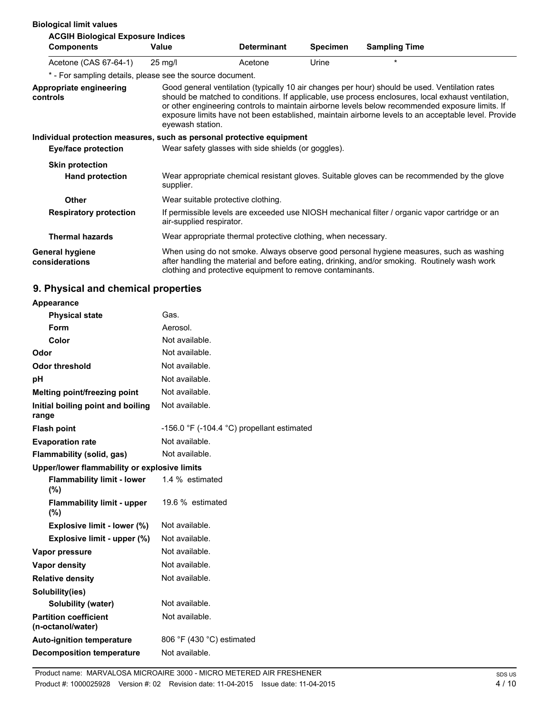| <b>Biological limit values</b>                                                                      |                   |                                                                                                                            |                 |                                                                                                                                                                                                                                                                                                                                                                                                                |
|-----------------------------------------------------------------------------------------------------|-------------------|----------------------------------------------------------------------------------------------------------------------------|-----------------|----------------------------------------------------------------------------------------------------------------------------------------------------------------------------------------------------------------------------------------------------------------------------------------------------------------------------------------------------------------------------------------------------------------|
| <b>ACGIH Biological Exposure Indices</b><br><b>Components</b>                                       | Value             | <b>Determinant</b>                                                                                                         | <b>Specimen</b> | <b>Sampling Time</b>                                                                                                                                                                                                                                                                                                                                                                                           |
| Acetone (CAS 67-64-1)                                                                               | $25 \text{ mg/l}$ | Acetone                                                                                                                    | Urine           | $\star$                                                                                                                                                                                                                                                                                                                                                                                                        |
| * - For sampling details, please see the source document.                                           |                   |                                                                                                                            |                 |                                                                                                                                                                                                                                                                                                                                                                                                                |
| Appropriate engineering<br>controls                                                                 | eyewash station.  |                                                                                                                            |                 | Good general ventilation (typically 10 air changes per hour) should be used. Ventilation rates<br>should be matched to conditions. If applicable, use process enclosures, local exhaust ventilation,<br>or other engineering controls to maintain airborne levels below recommended exposure limits. If<br>exposure limits have not been established, maintain airborne levels to an acceptable level. Provide |
| Individual protection measures, such as personal protective equipment<br><b>Eye/face protection</b> |                   | Wear safety glasses with side shields (or goggles).                                                                        |                 |                                                                                                                                                                                                                                                                                                                                                                                                                |
| <b>Skin protection</b>                                                                              |                   |                                                                                                                            |                 |                                                                                                                                                                                                                                                                                                                                                                                                                |
| <b>Hand protection</b>                                                                              | supplier.         |                                                                                                                            |                 | Wear appropriate chemical resistant gloves. Suitable gloves can be recommended by the glove                                                                                                                                                                                                                                                                                                                    |
| <b>Other</b>                                                                                        |                   | Wear suitable protective clothing.                                                                                         |                 |                                                                                                                                                                                                                                                                                                                                                                                                                |
| <b>Respiratory protection</b>                                                                       |                   | If permissible levels are exceeded use NIOSH mechanical filter / organic vapor cartridge or an<br>air-supplied respirator. |                 |                                                                                                                                                                                                                                                                                                                                                                                                                |
| <b>Thermal hazards</b>                                                                              |                   | Wear appropriate thermal protective clothing, when necessary.                                                              |                 |                                                                                                                                                                                                                                                                                                                                                                                                                |
| <b>General hygiene</b><br>considerations                                                            |                   | clothing and protective equipment to remove contaminants.                                                                  |                 | When using do not smoke. Always observe good personal hygiene measures, such as washing<br>after handling the material and before eating, drinking, and/or smoking. Routinely wash work                                                                                                                                                                                                                        |

# **9. Physical and chemical properties**

| <b>Appearance</b>                                 |                                            |
|---------------------------------------------------|--------------------------------------------|
| <b>Physical state</b>                             | Gas.                                       |
| Form                                              | Aerosol.                                   |
| Color                                             | Not available.                             |
| Odor                                              | Not available.                             |
| <b>Odor threshold</b>                             | Not available.                             |
| рH                                                | Not available.                             |
| Melting point/freezing point                      | Not available.                             |
| Initial boiling point and boiling<br>range        | Not available.                             |
| <b>Flash point</b>                                | -156.0 °F (-104.4 °C) propellant estimated |
| <b>Evaporation rate</b>                           | Not available.                             |
| Flammability (solid, gas)                         | Not available.                             |
| Upper/lower flammability or explosive limits      |                                            |
| <b>Flammability limit - lower</b><br>(%)          | 1.4 % estimated                            |
| <b>Flammability limit - upper</b><br>$(\% )$      | 19.6 % estimated                           |
| Explosive limit - lower (%)                       | Not available.                             |
| Explosive limit - upper (%)                       | Not available.                             |
| Vapor pressure                                    | Not available.                             |
| <b>Vapor density</b>                              | Not available.                             |
| <b>Relative density</b>                           | Not available.                             |
| Solubility(ies)                                   |                                            |
| Solubility (water)                                | Not available.                             |
| <b>Partition coefficient</b><br>(n-octanol/water) | Not available.                             |
| <b>Auto-ignition temperature</b>                  | 806 °F (430 °C) estimated                  |
| <b>Decomposition temperature</b>                  | Not available.                             |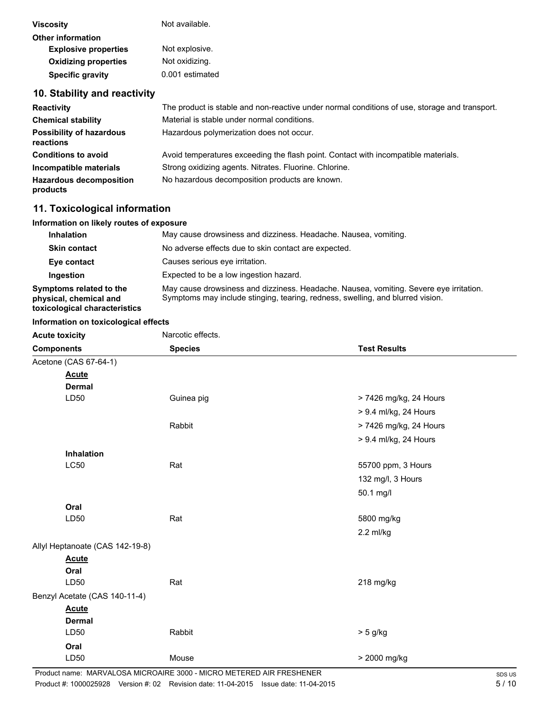| <b>Viscosity</b>                             | Not available.                                                                                |
|----------------------------------------------|-----------------------------------------------------------------------------------------------|
| <b>Other information</b>                     |                                                                                               |
| <b>Explosive properties</b>                  | Not explosive.                                                                                |
| <b>Oxidizing properties</b>                  | Not oxidizing.                                                                                |
| <b>Specific gravity</b>                      | 0.001 estimated                                                                               |
| 10. Stability and reactivity                 |                                                                                               |
| <b>Reactivity</b>                            | The product is stable and non-reactive under normal conditions of use, storage and transport. |
| <b>Chemical stability</b>                    | Material is stable under normal conditions.                                                   |
| <b>Possibility of hazardous</b><br>reactions | Hazardous polymerization does not occur.                                                      |

| <b>Conditions to avoid</b>                 | Avoid temperatures exceeding the flash point. Contact with incompatible materials. |
|--------------------------------------------|------------------------------------------------------------------------------------|
| Incompatible materials                     | Strong oxidizing agents. Nitrates. Fluorine. Chlorine.                             |
| <b>Hazardous decomposition</b><br>products | No hazardous decomposition products are known.                                     |

# **11. Toxicological information**

### **Information on likely routes of exposure**

| <b>Inhalation</b>                                                                  | May cause drowsiness and dizziness. Headache. Nausea, vomiting.                                                                                                          |
|------------------------------------------------------------------------------------|--------------------------------------------------------------------------------------------------------------------------------------------------------------------------|
| <b>Skin contact</b>                                                                | No adverse effects due to skin contact are expected.                                                                                                                     |
| Eye contact                                                                        | Causes serious eve irritation.                                                                                                                                           |
| Ingestion                                                                          | Expected to be a low ingestion hazard.                                                                                                                                   |
| Symptoms related to the<br>physical, chemical and<br>toxicological characteristics | May cause drowsiness and dizziness. Headache. Nausea, vomiting. Severe eye irritation.<br>Symptoms may include stinging, tearing, redness, swelling, and blurred vision. |

### **Information on toxicological effects**

| <b>Acute toxicity</b>           | Narcotic effects. |                        |
|---------------------------------|-------------------|------------------------|
| <b>Components</b>               | <b>Species</b>    | <b>Test Results</b>    |
| Acetone (CAS 67-64-1)           |                   |                        |
| <b>Acute</b>                    |                   |                        |
| <b>Dermal</b>                   |                   |                        |
| LD50                            | Guinea pig        | > 7426 mg/kg, 24 Hours |
|                                 |                   | > 9.4 ml/kg, 24 Hours  |
|                                 | Rabbit            | > 7426 mg/kg, 24 Hours |
|                                 |                   | > 9.4 ml/kg, 24 Hours  |
| Inhalation                      |                   |                        |
| <b>LC50</b>                     | Rat               | 55700 ppm, 3 Hours     |
|                                 |                   | 132 mg/l, 3 Hours      |
|                                 |                   | 50.1 mg/l              |
| Oral                            |                   |                        |
| LD50                            | Rat               | 5800 mg/kg             |
|                                 |                   | 2.2 ml/kg              |
| Allyl Heptanoate (CAS 142-19-8) |                   |                        |
| <b>Acute</b>                    |                   |                        |
| Oral                            |                   |                        |
| LD50                            | Rat               | 218 mg/kg              |
| Benzyl Acetate (CAS 140-11-4)   |                   |                        |
| <b>Acute</b>                    |                   |                        |
| <b>Dermal</b>                   |                   |                        |
| LD50                            | Rabbit            | $> 5$ g/kg             |
| Oral                            |                   |                        |
| LD50                            | Mouse             | > 2000 mg/kg           |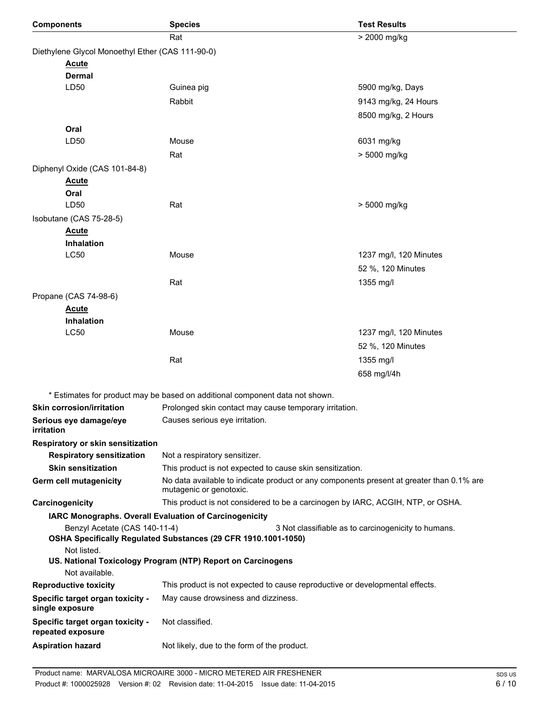| <b>Components</b>                                                                                                                              | <b>Species</b>                                                                                                      | <b>Test Results</b>    |  |  |
|------------------------------------------------------------------------------------------------------------------------------------------------|---------------------------------------------------------------------------------------------------------------------|------------------------|--|--|
|                                                                                                                                                | Rat                                                                                                                 | > 2000 mg/kg           |  |  |
|                                                                                                                                                | Diethylene Glycol Monoethyl Ether (CAS 111-90-0)                                                                    |                        |  |  |
| <b>Acute</b>                                                                                                                                   |                                                                                                                     |                        |  |  |
| <b>Dermal</b>                                                                                                                                  |                                                                                                                     |                        |  |  |
| LD50                                                                                                                                           | Guinea pig                                                                                                          | 5900 mg/kg, Days       |  |  |
|                                                                                                                                                | Rabbit                                                                                                              | 9143 mg/kg, 24 Hours   |  |  |
|                                                                                                                                                |                                                                                                                     | 8500 mg/kg, 2 Hours    |  |  |
| Oral                                                                                                                                           |                                                                                                                     |                        |  |  |
| LD50                                                                                                                                           | Mouse                                                                                                               | 6031 mg/kg             |  |  |
|                                                                                                                                                | Rat                                                                                                                 | > 5000 mg/kg           |  |  |
| Diphenyl Oxide (CAS 101-84-8)                                                                                                                  |                                                                                                                     |                        |  |  |
| <u>Acute</u>                                                                                                                                   |                                                                                                                     |                        |  |  |
| Oral                                                                                                                                           |                                                                                                                     |                        |  |  |
| LD50                                                                                                                                           | Rat                                                                                                                 | > 5000 mg/kg           |  |  |
| Isobutane (CAS 75-28-5)                                                                                                                        |                                                                                                                     |                        |  |  |
| <b>Acute</b>                                                                                                                                   |                                                                                                                     |                        |  |  |
| Inhalation                                                                                                                                     |                                                                                                                     |                        |  |  |
| <b>LC50</b>                                                                                                                                    | Mouse                                                                                                               | 1237 mg/l, 120 Minutes |  |  |
|                                                                                                                                                |                                                                                                                     | 52 %, 120 Minutes      |  |  |
|                                                                                                                                                | Rat                                                                                                                 | 1355 mg/l              |  |  |
| Propane (CAS 74-98-6)                                                                                                                          |                                                                                                                     |                        |  |  |
| <b>Acute</b>                                                                                                                                   |                                                                                                                     |                        |  |  |
| Inhalation<br><b>LC50</b>                                                                                                                      | Mouse                                                                                                               | 1237 mg/l, 120 Minutes |  |  |
|                                                                                                                                                |                                                                                                                     |                        |  |  |
|                                                                                                                                                |                                                                                                                     | 52 %, 120 Minutes      |  |  |
|                                                                                                                                                | Rat                                                                                                                 | 1355 mg/l              |  |  |
|                                                                                                                                                |                                                                                                                     | 658 mg/l/4h            |  |  |
|                                                                                                                                                | * Estimates for product may be based on additional component data not shown.                                        |                        |  |  |
| <b>Skin corrosion/irritation</b>                                                                                                               | Prolonged skin contact may cause temporary irritation.                                                              |                        |  |  |
| Serious eye damage/eye<br>irritation                                                                                                           | Causes serious eye irritation.                                                                                      |                        |  |  |
| Respiratory or skin sensitization                                                                                                              |                                                                                                                     |                        |  |  |
| <b>Respiratory sensitization</b>                                                                                                               | Not a respiratory sensitizer.                                                                                       |                        |  |  |
| <b>Skin sensitization</b>                                                                                                                      | This product is not expected to cause skin sensitization.                                                           |                        |  |  |
| Germ cell mutagenicity                                                                                                                         | No data available to indicate product or any components present at greater than 0.1% are<br>mutagenic or genotoxic. |                        |  |  |
| Carcinogenicity                                                                                                                                | This product is not considered to be a carcinogen by IARC, ACGIH, NTP, or OSHA.                                     |                        |  |  |
| IARC Monographs. Overall Evaluation of Carcinogenicity<br>Benzyl Acetate (CAS 140-11-4)<br>3 Not classifiable as to carcinogenicity to humans. |                                                                                                                     |                        |  |  |
|                                                                                                                                                | OSHA Specifically Regulated Substances (29 CFR 1910.1001-1050)                                                      |                        |  |  |
| Not listed.<br>Not available.                                                                                                                  | US. National Toxicology Program (NTP) Report on Carcinogens                                                         |                        |  |  |
| <b>Reproductive toxicity</b>                                                                                                                   | This product is not expected to cause reproductive or developmental effects.                                        |                        |  |  |
| Specific target organ toxicity -                                                                                                               | May cause drowsiness and dizziness.                                                                                 |                        |  |  |
| single exposure                                                                                                                                |                                                                                                                     |                        |  |  |
| Specific target organ toxicity -<br>repeated exposure                                                                                          | Not classified.                                                                                                     |                        |  |  |
| <b>Aspiration hazard</b>                                                                                                                       | Not likely, due to the form of the product.                                                                         |                        |  |  |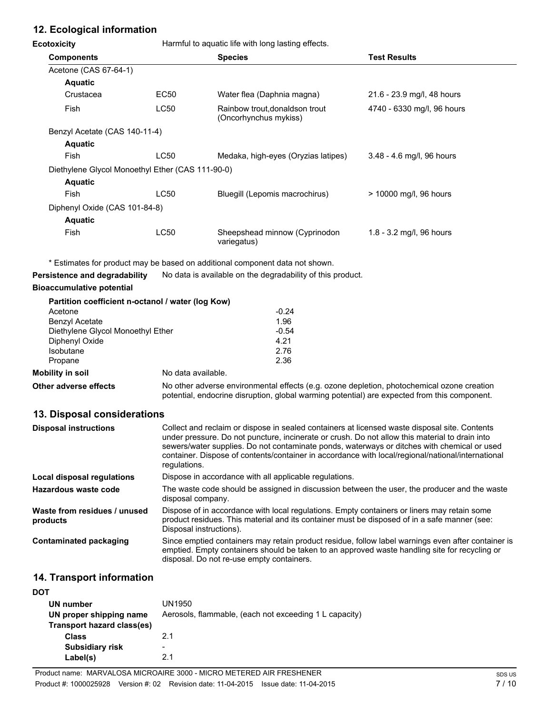# **12. Ecological information**

**Ecotoxicity Harmful to aquatic life with long lasting effects.** 

| <b>Components</b>                                |             | <b>Species</b>                                          | <b>Test Results</b>         |
|--------------------------------------------------|-------------|---------------------------------------------------------|-----------------------------|
| Acetone (CAS 67-64-1)                            |             |                                                         |                             |
| <b>Aquatic</b>                                   |             |                                                         |                             |
| Crustacea                                        | EC50        | Water flea (Daphnia magna)                              | 21.6 - 23.9 mg/l, 48 hours  |
| Fish                                             | LC50        | Rainbow trout, donaldson trout<br>(Oncorhynchus mykiss) | 4740 - 6330 mg/l, 96 hours  |
| Benzyl Acetate (CAS 140-11-4)                    |             |                                                         |                             |
| <b>Aquatic</b>                                   |             |                                                         |                             |
| Fish                                             | <b>LC50</b> | Medaka, high-eyes (Oryzias latipes)                     | $3.48 - 4.6$ mg/l, 96 hours |
| Diethylene Glycol Monoethyl Ether (CAS 111-90-0) |             |                                                         |                             |
| <b>Aquatic</b>                                   |             |                                                         |                             |
| Fish                                             | <b>LC50</b> | Bluegill (Lepomis macrochirus)                          | > 10000 mg/l, 96 hours      |
| Diphenyl Oxide (CAS 101-84-8)                    |             |                                                         |                             |
| <b>Aquatic</b>                                   |             |                                                         |                             |
| Fish                                             | <b>LC50</b> | Sheepshead minnow (Cyprinodon<br>variegatus)            | 1.8 - 3.2 mg/l, 96 hours    |

\* Estimates for product may be based on additional component data not shown.

**Persistence and degradability** No data is available on the degradability of this product.

## **Bioaccumulative potential**

|                                   | Partition coefficient n-octanol / water (log Kow) |         |
|-----------------------------------|---------------------------------------------------|---------|
| Acetone                           |                                                   | $-0.24$ |
| <b>Benzyl Acetate</b>             |                                                   | 1.96    |
| Diethylene Glycol Monoethyl Ether |                                                   | $-0.54$ |
| Diphenyl Oxide                    |                                                   | 4.21    |
| Isobutane                         |                                                   | 2.76    |
| Propane                           |                                                   | 2.36    |
| Mobility in soil                  | No data available.                                |         |

**Other adverse effects** No other adverse environmental effects (e.g. ozone depletion, photochemical ozone creation potential, endocrine disruption, global warming potential) are expected from this component.

## **13. Disposal considerations**

| Collect and reclaim or dispose in sealed containers at licensed waste disposal site. Contents<br>under pressure. Do not puncture, incinerate or crush. Do not allow this material to drain into<br>sewers/water supplies. Do not contaminate ponds, waterways or ditches with chemical or used<br>container. Dispose of contents/container in accordance with local/regional/national/international<br>regulations. |
|---------------------------------------------------------------------------------------------------------------------------------------------------------------------------------------------------------------------------------------------------------------------------------------------------------------------------------------------------------------------------------------------------------------------|
| Dispose in accordance with all applicable regulations.                                                                                                                                                                                                                                                                                                                                                              |
| The waste code should be assigned in discussion between the user, the producer and the waste<br>disposal company.                                                                                                                                                                                                                                                                                                   |
| Dispose of in accordance with local regulations. Empty containers or liners may retain some<br>product residues. This material and its container must be disposed of in a safe manner (see:<br>Disposal instructions).                                                                                                                                                                                              |
| Since emptied containers may retain product residue, follow label warnings even after container is<br>emptied. Empty containers should be taken to an approved waste handling site for recycling or<br>disposal. Do not re-use empty containers.                                                                                                                                                                    |
|                                                                                                                                                                                                                                                                                                                                                                                                                     |

## **14. Transport information**

| DOT                        |                                                        |
|----------------------------|--------------------------------------------------------|
| UN number                  | UN1950                                                 |
| UN proper shipping name    | Aerosols, flammable, (each not exceeding 1 L capacity) |
| Transport hazard class(es) |                                                        |
| <b>Class</b>               | 2.1                                                    |
| <b>Subsidiary risk</b>     | -                                                      |
| Label(s)                   | 21                                                     |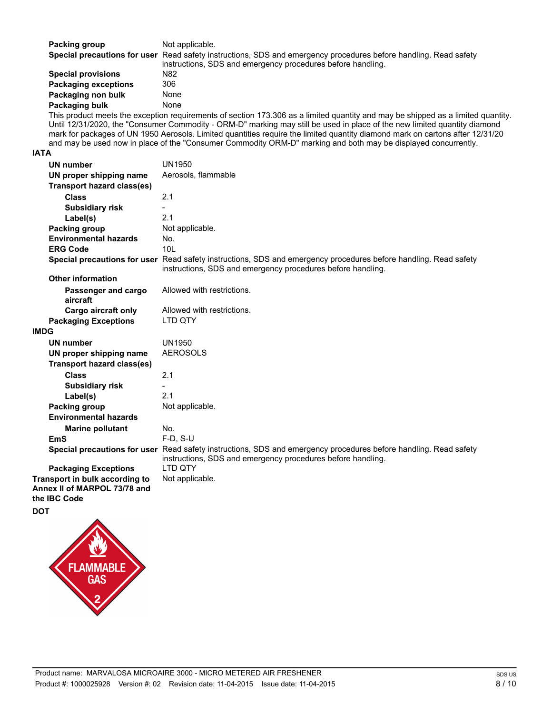| Packing group | Not applicable.                                                                                                  |
|---------------|------------------------------------------------------------------------------------------------------------------|
|               | Special precautions for user Read safety instructions, SDS and emergency procedures before handling. Read safety |
|               | instructions, SDS and emergency procedures before handling.                                                      |

| <b>Special provisions</b>   | N82  |
|-----------------------------|------|
| <b>Packaging exceptions</b> | 306  |
| Packaging non bulk          | None |
| Packaging bulk              | None |

This product meets the exception requirements of section 173.306 as a limited quantity and may be shipped as a limited quantity. Until 12/31/2020, the "Consumer Commodity - ORM-D" marking may still be used in place of the new limited quantity diamond mark for packages of UN 1950 Aerosols. Limited quantities require the limited quantity diamond mark on cartons after 12/31/20 and may be used now in place of the "Consumer Commodity ORM-D" marking and both may be displayed concurrently.

#### **IATA**

| <b>UN number</b>                                               | <b>UN1950</b>                                                                                                                                                                   |
|----------------------------------------------------------------|---------------------------------------------------------------------------------------------------------------------------------------------------------------------------------|
| UN proper shipping name                                        | Aerosols, flammable                                                                                                                                                             |
| <b>Transport hazard class(es)</b>                              |                                                                                                                                                                                 |
| <b>Class</b>                                                   | 2.1                                                                                                                                                                             |
| <b>Subsidiary risk</b>                                         |                                                                                                                                                                                 |
| Label(s)                                                       | 2.1                                                                                                                                                                             |
| <b>Packing group</b>                                           | Not applicable.                                                                                                                                                                 |
| <b>Environmental hazards</b>                                   | No.                                                                                                                                                                             |
| <b>ERG Code</b>                                                | 10 <sub>L</sub>                                                                                                                                                                 |
|                                                                | Special precautions for user Read safety instructions, SDS and emergency procedures before handling. Read safety<br>instructions, SDS and emergency procedures before handling. |
| <b>Other information</b>                                       |                                                                                                                                                                                 |
| Passenger and cargo<br>aircraft                                | Allowed with restrictions.                                                                                                                                                      |
| Cargo aircraft only                                            | Allowed with restrictions.                                                                                                                                                      |
| <b>Packaging Exceptions</b>                                    | <b>LTD OTY</b>                                                                                                                                                                  |
| <b>IMDG</b>                                                    |                                                                                                                                                                                 |
| <b>UN number</b>                                               | <b>UN1950</b>                                                                                                                                                                   |
| UN proper shipping name                                        | <b>AEROSOLS</b>                                                                                                                                                                 |
| <b>Transport hazard class(es)</b>                              |                                                                                                                                                                                 |
| <b>Class</b>                                                   | 2.1                                                                                                                                                                             |
| <b>Subsidiary risk</b>                                         |                                                                                                                                                                                 |
| Label(s)                                                       | 2.1                                                                                                                                                                             |
| Packing group                                                  | Not applicable.                                                                                                                                                                 |
| <b>Environmental hazards</b>                                   |                                                                                                                                                                                 |
| <b>Marine pollutant</b>                                        | No.                                                                                                                                                                             |
| <b>EmS</b>                                                     | $F-D, S-U$                                                                                                                                                                      |
|                                                                | Special precautions for user Read safety instructions, SDS and emergency procedures before handling. Read safety<br>instructions, SDS and emergency procedures before handling. |
| <b>Packaging Exceptions</b>                                    | I TD OTY                                                                                                                                                                        |
| Transport in bulk according to<br>Annex II of MARPOL 73/78 and | Not applicable.                                                                                                                                                                 |
| the IBC Code                                                   |                                                                                                                                                                                 |

**DOT**

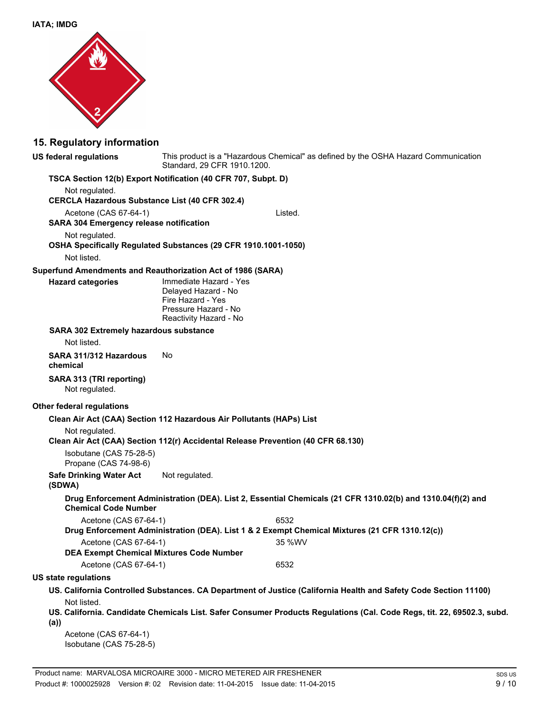

## **15. Regulatory information**

**US federal regulations**

This product is a "Hazardous Chemical" as defined by the OSHA Hazard Communication Standard, 29 CFR 1910.1200.

#### **TSCA Section 12(b) Export Notification (40 CFR 707, Subpt. D)**

Not regulated. **CERCLA Hazardous Substance List (40 CFR 302.4)** Acetone (CAS 67-64-1) Listed. **SARA 304 Emergency release notification** Not regulated. **OSHA Specifically Regulated Substances (29 CFR 1910.1001-1050)** Not listed. **Superfund Amendments and Reauthorization Act of 1986 (SARA)** Immediate Hazard - Yes Delayed Hazard - No Fire Hazard - Yes Pressure Hazard - No Reactivity Hazard - No **Hazard categories SARA 302 Extremely hazardous substance** Not listed. **SARA 311/312 Hazardous** No **chemical SARA 313 (TRI reporting)** Not regulated. **Other federal regulations Clean Air Act (CAA) Section 112 Hazardous Air Pollutants (HAPs) List** Not regulated. **Clean Air Act (CAA) Section 112(r) Accidental Release Prevention (40 CFR 68.130)** Isobutane (CAS 75-28-5) Propane (CAS 74-98-6) **Safe Drinking Water Act** Not regulated. **(SDWA) Drug Enforcement Administration (DEA). List 2, Essential Chemicals (21 CFR 1310.02(b) and 1310.04(f)(2) and Chemical Code Number** Acetone (CAS 67-64-1) 6532 **Drug Enforcement Administration (DEA). List 1 & 2 Exempt Chemical Mixtures (21 CFR 1310.12(c))** Acetone (CAS 67-64-1) 35 %WV **DEA Exempt Chemical Mixtures Code Number** Acetone (CAS 67-64-1) 6532 **US state regulations US. California Controlled Substances. CA Department of Justice (California Health and Safety Code Section 11100)** Not listed. **US. California. Candidate Chemicals List. Safer Consumer Products Regulations (Cal. Code Regs, tit. 22, 69502.3, subd. (a))**

Acetone (CAS 67-64-1) Isobutane (CAS 75-28-5)